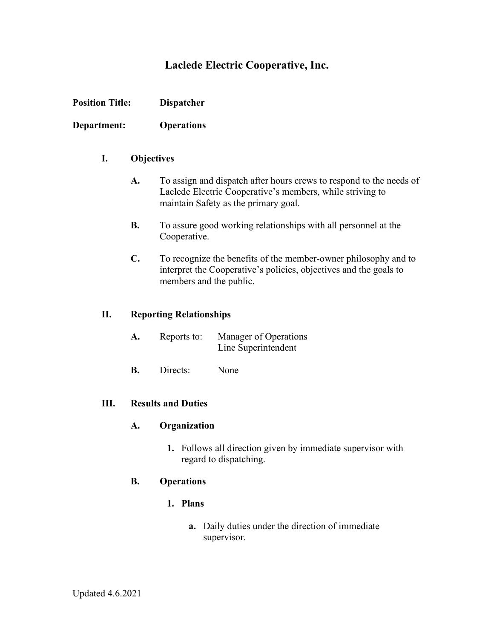# **Laclede Electric Cooperative, Inc.**

**Department: Operations**

## **I. Objectives**

- **A.** To assign and dispatch after hours crews to respond to the needs of Laclede Electric Cooperative's members, while striving to maintain Safety as the primary goal.
- **B.** To assure good working relationships with all personnel at the Cooperative.
- **C.** To recognize the benefits of the member-owner philosophy and to interpret the Cooperative's policies, objectives and the goals to members and the public.

#### **II. Reporting Relationships**

| A. | Reports to: | Manager of Operations |
|----|-------------|-----------------------|
|    |             | Line Superintendent   |

**B.** Directs: None

#### **III. Results and Duties**

#### **A. Organization**

**1.** Follows all direction given by immediate supervisor with regard to dispatching.

## **B. Operations**

#### **1. Plans**

**a.** Daily duties under the direction of immediate supervisor.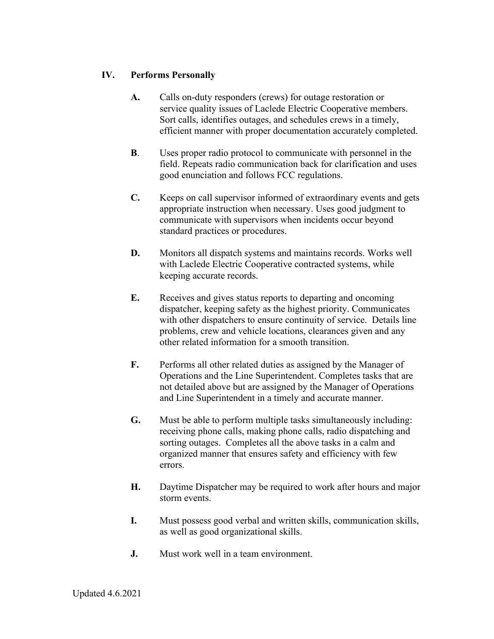# **IV. Performs Personally**

- **A.** Calls on-duty responders (crews) for outage restoration or service quality issues of Laclede Electric Cooperative members. Sort calls, identifies outages, and schedules crews in a timely, efficient manner with proper documentation accurately completed.
- **B**. Uses proper radio protocol to communicate with personnel in the field. Repeats radio communication back for clarification and uses good enunciation and follows FCC regulations.
- **C.** Keeps on call supervisor informed of extraordinary events and gets appropriate instruction when necessary. Uses good judgment to communicate with supervisors when incidents occur beyond standard practices or procedures.
- **D.** Monitors all dispatch systems and maintains records. Works well with Laclede Electric Cooperative contracted systems, while keeping accurate records.
- **E.** Receives and gives status reports to departing and oncoming dispatcher, keeping safety as the highest priority. Communicates with other dispatchers to ensure continuity of service. Details line problems, crew and vehicle locations, clearances given and any other related information for a smooth transition.
- **F.** Performs all other related duties as assigned by the Manager of Operations and the Line Superintendent. Completes tasks that are not detailed above but are assigned by the Manager of Operations and Line Superintendent in a timely and accurate manner.
- **G.** Must be able to perform multiple tasks simultaneously including: receiving phone calls, making phone calls, radio dispatching and sorting outages. Completes all the above tasks in a calm and organized manner that ensures safety and efficiency with few errors.
- **H.** Daytime Dispatcher may be required to work after hours and major storm events.
- **I.** Must possess good verbal and written skills, communication skills, as well as good organizational skills.
- **J.** Must work well in a team environment.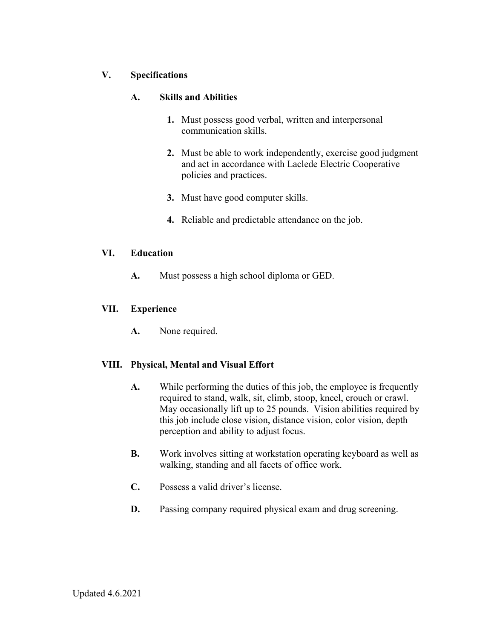# **V. Specifications**

## **A. Skills and Abilities**

- **1.** Must possess good verbal, written and interpersonal communication skills.
- **2.** Must be able to work independently, exercise good judgment and act in accordance with Laclede Electric Cooperative policies and practices.
- **3.** Must have good computer skills.
- **4.** Reliable and predictable attendance on the job.

#### **VI. Education**

**A.** Must possess a high school diploma or GED.

## **VII. Experience**

**A.** None required.

## **VIII. Physical, Mental and Visual Effort**

- **A.** While performing the duties of this job, the employee is frequently required to stand, walk, sit, climb, stoop, kneel, crouch or crawl. May occasionally lift up to 25 pounds. Vision abilities required by this job include close vision, distance vision, color vision, depth perception and ability to adjust focus.
- **B.** Work involves sitting at workstation operating keyboard as well as walking, standing and all facets of office work.
- **C.** Possess a valid driver's license.
- **D.** Passing company required physical exam and drug screening.